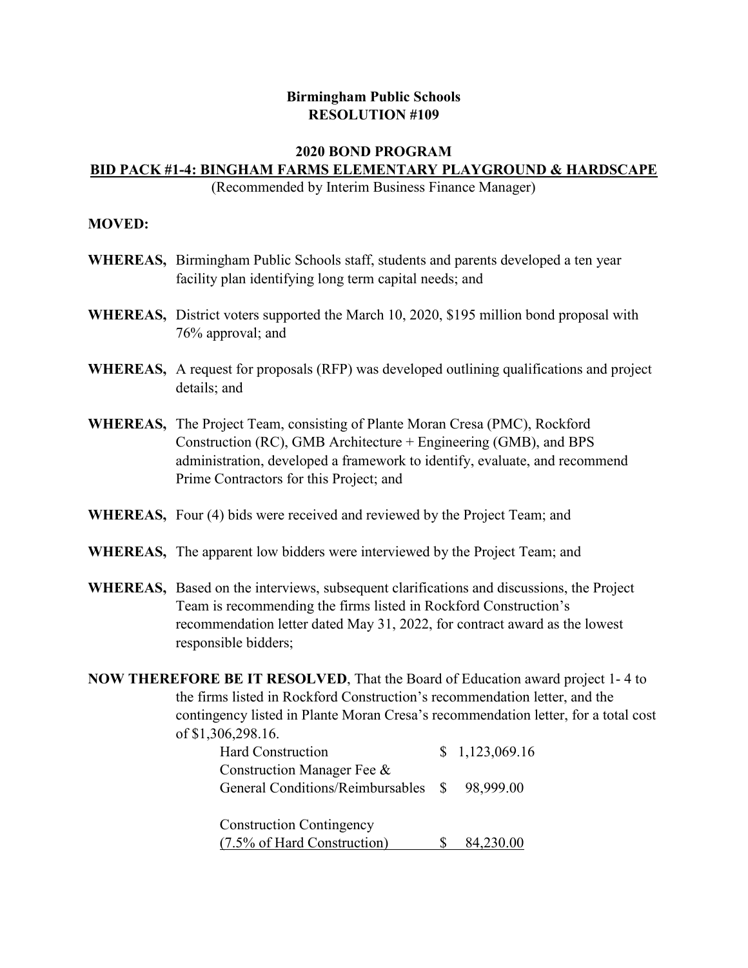## **Birmingham Public Schools RESOLUTION #109**

## **2020 BOND PROGRAM BID PACK #1‐4: BINGHAM FARMS ELEMENTARY PLAYGROUND & HARDSCAPE**

(Recommended by Interim Business Finance Manager)

## **MOVED:**

- **WHEREAS,** Birmingham Public Schools staff, students and parents developed a ten year facility plan identifying long term capital needs; and
- **WHEREAS,** District voters supported the March 10, 2020, \$195 million bond proposal with 76% approval; and
- **WHEREAS,** A request for proposals (RFP) was developed outlining qualifications and project details; and
- **WHEREAS,** The Project Team, consisting of Plante Moran Cresa (PMC), Rockford Construction (RC), GMB Architecture + Engineering (GMB), and BPS administration, developed a framework to identify, evaluate, and recommend Prime Contractors for this Project; and
- **WHEREAS,** Four (4) bids were received and reviewed by the Project Team; and
- **WHEREAS,** The apparent low bidders were interviewed by the Project Team; and
- **WHEREAS,** Based on the interviews, subsequent clarifications and discussions, the Project Team is recommending the firms listed in Rockford Construction's recommendation letter dated May 31, 2022, for contract award as the lowest responsible bidders;
- **NOW THEREFORE BE IT RESOLVED**, That the Board of Education award project 1- 4 to the firms listed in Rockford Construction's recommendation letter, and the contingency listed in Plante Moran Cresa's recommendation letter, for a total cost of \$1,306,298.16.

| Hard Construction                                                          | \$1,123,069.16 |
|----------------------------------------------------------------------------|----------------|
| Construction Manager Fee &<br>General Conditions/Reimbursables \$98,999.00 |                |
| <b>Construction Contingency</b>                                            |                |
| (7.5% of Hard Construction)                                                | 84,230.00      |